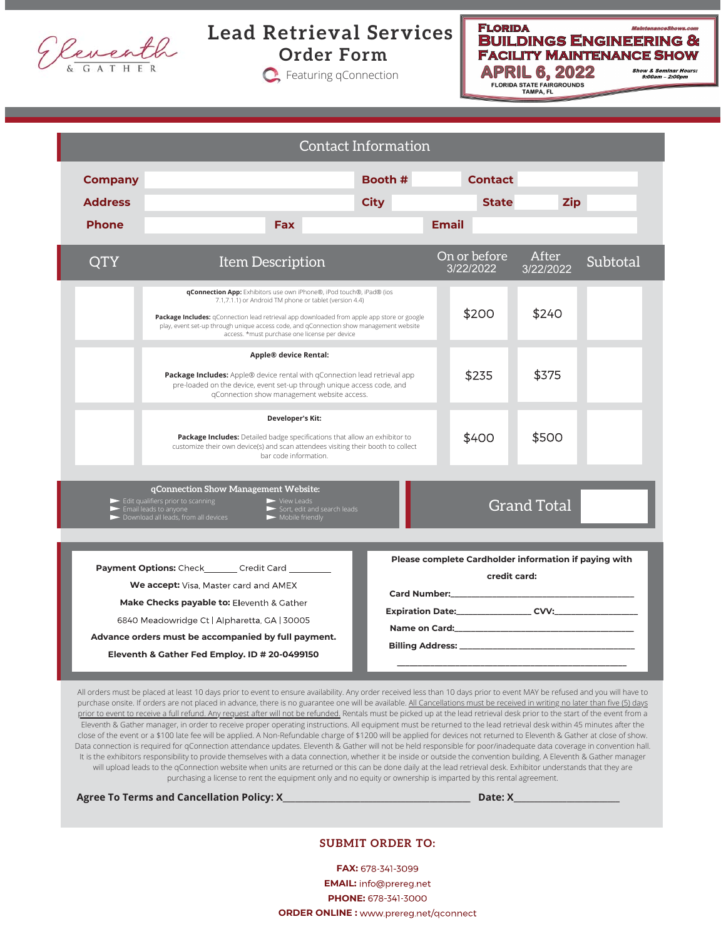

**Lead Retrieval Services Order Form**

**C**: Featuring qConnection



Contact Information **Company Booth # Contact Address City State Zip Phone Fax Email** QTY Item Description Subtotal On or before After 3/22/2022 3/22/2022 **qConnection App:** Exhibitors use own iPhone®, iPod touch®, iPad® (ios 7.1,7.1.1) or Android TM phone or tablet (version 4.4) \$200 \$240 **Package Includes:** qConnection lead retrieval app downloaded from apple app store or google play, event set-up through unique access code, and qConnection show management website access. \*must purchase one license per device **Apple® device Rental: Package Includes:** Apple® device rental with qConnection lead retrieval app \$235 \$375 pre-loaded on the device, event set-up through unique access code, and qConnection show management website access. **Developer's Kit: Package Includes:** Detailed badge specifications that allow an exhibitor to \$400 \$500 customize their own device(s) and scan attendees visiting their booth to collect bar code information.**qConnection Show Management Website:** Edit qualifiers prior to scanning Email leads to anyone View Leads Sort, edit and search leads Mobile friendly Grand Total Danyone<br>Jeads, from all de **Please complete Cardholder information if paying with** Payment Options: Check\_\_\_\_\_\_\_Credit Card **credit card:** We accept: Visa, Master card and AMEX **Card Number:\_\_\_\_\_\_\_\_\_\_\_\_\_\_\_\_\_\_\_\_\_\_\_\_\_\_\_\_\_\_\_\_\_\_\_\_\_\_\_\_\_\_\_\_** Make Checks payable to: Eleventh & Gather **Expiration Date:\_\_\_\_\_\_\_\_\_\_\_\_\_\_\_\_\_\_\_\_\_ CVV:\_\_\_\_\_** 6840 Meadowridge Ct | Alpharetta, GA | 30005 Name on Card: **Advance orders must be accompanied by full payment. Billing Address: \_\_\_\_\_\_\_\_\_\_\_\_\_\_\_\_\_\_\_\_\_\_\_\_\_\_\_\_\_\_\_\_\_\_\_\_\_\_\_\_\_\_ Eleventh & Gather Fed Employ. ID # 20-0499150 \_\_\_\_\_\_\_\_\_\_\_\_\_\_\_\_\_\_\_\_\_\_\_\_\_\_\_\_\_\_\_\_\_\_\_\_\_\_\_\_\_\_\_\_\_\_\_\_\_\_\_\_\_\_\_**

All orders must be placed at least 10 days prior to event to ensure availability. Any order received less than 10 days prior to event MAY be refused and you will have to purchase onsite. If orders are not placed in advance, there is no guarantee one will be available. All Cancellations must be received in writing no later than five (5) days prior to event to receive a full refund. Any request after will not be refunded. Rentals must be picked up at the lead retrieval desk prior to the start of the event from a Eleventh & Gather manager, in order to receive proper operating instructions. All equipment must be returned to the lead retrieval desk within 45 minutes after the close of the event or a \$100 late fee will be applied. A Non-Refundable charge of \$1200 will be applied for devices not returned to Eleventh & Gather at close of show. Data connection is required for qConnection attendance updates. Eleventh & Gather will not be held responsible for poor/inadequate data coverage in convention hall. It is the exhibitors responsibility to provide themselves with a data connection, whether it be inside or outside the convention building. A Eleventh & Gather manager will upload leads to the gConnection website when units are returned or this can be done daily at the lead retrieval desk. Exhibitor understands that they are purchasing a license to rent the equipment only and no equity or ownership is imparted by this rental agreement.

**Agree To Terms and Cancellation Policy: X\_\_\_\_\_\_\_\_\_\_\_\_\_\_\_\_\_\_\_\_\_\_\_\_\_\_\_\_\_\_\_\_\_\_\_\_\_\_\_\_\_\_\_\_\_\_ Date: X\_\_\_\_\_\_\_\_\_\_\_\_\_\_\_\_\_\_\_\_\_\_\_\_\_\_**

### **SUBMIT ORDER TO:**

FAX: 678-341-3099 **EMAIL: PHONE: ORDER ONLINE :**